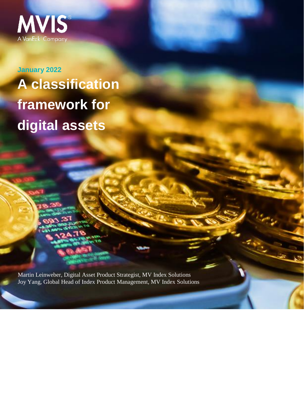

**January 2022 A classification framework for digital assets**

Martin Leinweber, Digital Asset Product Strategist, MV Index Solutions Joy Yang, Global Head of Index Product Management, MV Index Solutions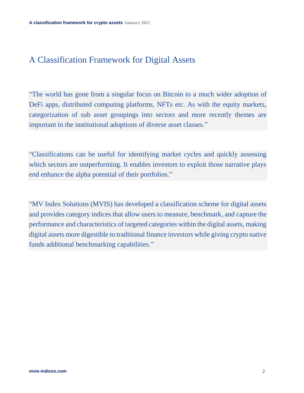# A Classification Framework for Digital Assets

"The world has gone from a singular focus on Bitcoin to a much wider adoption of DeFi apps, distributed computing platforms, NFTs etc. As with the equity markets, categorization of sub asset groupings into sectors and more recently themes are important in the institutional adoptions of diverse asset classes."

"Classifications can be useful for identifying market cycles and quickly assessing which sectors are outperforming. It enables investors to exploit those narrative plays end enhance the alpha potential of their portfolios."

"MV Index Solutions (MVIS) has developed a classification scheme for digital assets and provides category indices that allow users to measure, benchmark, and capture the performance and characteristics of targeted categories within the digital assets, making digital assets more digestible to traditional finance investors while giving crypto native funds additional benchmarking capabilities."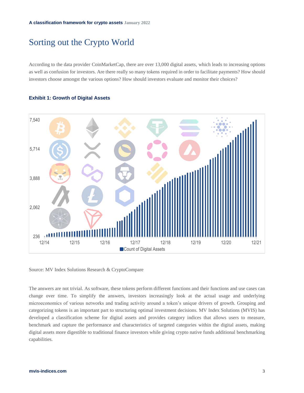## Sorting out the Crypto World

According to the data provider CoinMarketCap, there are over 13,000 digital assets, which leads to increasing options as well as confusion for investors. Are there really so many tokens required in order to facilitate payments? How should investors choose amongst the various options? How should investors evaluate and monitor their choices?

#### **Exhibit 1: Growth of Digital Assets**



Source: MV Index Solutions Research & CryptoCompare

The answers are not trivial. As software, these tokens perform different functions and their functions and use cases can change over time. To simplify the answers, investors increasingly look at the actual usage and underlying microeconomics of various networks and trading activity around a token's unique drivers of growth. Grouping and categorizing tokens is an important part to structuring optimal investment decisions. MV Index Solutions (MVIS) has developed a classification scheme for digital assets and provides category indices that allows users to measure, benchmark and capture the performance and characteristics of targeted categories within the digital assets, making digital assets more digestible to traditional finance investors while giving crypto native funds additional benchmarking capabilities.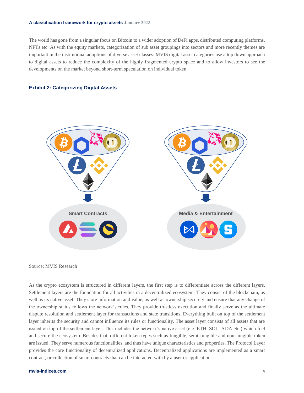#### **A classification framework for crypto assets January 2022**

The world has gone from a singular focus on Bitcoin to a wider adoption of DeFi apps, distributed computing platforms, NFTs etc. As with the equity markets, categorization of sub asset groupings into sectors and more recently themes are important in the institutional adoptions of diverse asset classes. MVIS digital asset categories use a top down approach to digital assets to reduce the complexity of the highly fragmented crypto space and to allow investors to see the developments on the market beyond short-term speculation on individual token.

#### **Exhibit 2: Categorizing Digital Assets**



Source: MVIS Research

As the crypto ecosystem is structured in different layers, the first step is to differentiate across the different layers. Settlement layers are the foundation for all activities in a decentralized ecosystem. They consist of the blockchain, as well as its native asset. They store information and value, as well as ownership securely and ensure that any change of the ownership status follows the network's rules. They provide trustless execution and finally serve as the ultimate dispute resolution and settlement layer for transactions and state transitions. Everything built on top of the settlement layer inherits the security and cannot influence its rules or functionality. The asset layer consists of all assets that are issued on top of the settlement layer. This includes the network's native asset (e.g. ETH, SOL, ADA etc.) which fuel and secure the ecosystem. Besides that, different token types such as fungible, semi-fungible and non-fungible token are issued. They serve numerous functionalities, and thus have unique characteristics and properties. The Protocol Layer provides the core functionality of decentralized applications. Decentralized applications are implemented as a smart contract, or collection of smart contracts that can be interacted with by a user or application.

#### **mvis-indices.com** 4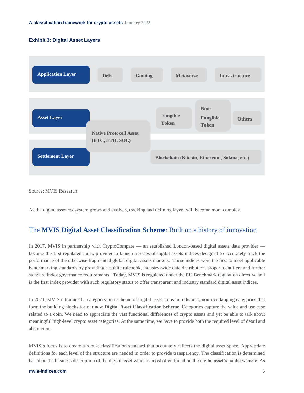#### **Exhibit 3: Digital Asset Layers**



Source: MVIS Research

As the digital asset ecosystem grows and evolves, tracking and defining layers will become more complex.

### The **MVIS Digital Asset Classification Scheme**: Built on a history of innovation

In 2017, MVIS in partnership with CryptoCompare — an established London-based digital assets data provider became the first regulated index provider to launch a series of digital assets indices designed to accurately track the performance of the otherwise fragmented global digital assets markets. These indices were the first to meet applicable benchmarking standards by providing a public rulebook, industry-wide data distribution, proper identifiers and further standard index governance requirements. Today, MVIS is regulated under the EU Benchmark regulation directive and is the first index provider with such regulatory status to offer transparent and industry standard digital asset indices.

In 2021, MVIS introduced a categorization scheme of digital asset coins into distinct, non-overlapping categories that form the building blocks for our new **Digital Asset Classification Scheme**. Categories capture the value and use case related to a coin. We need to appreciate the vast functional differences of crypto assets and yet be able to talk about meaningful high-level crypto asset categories. At the same time, we have to provide both the required level of detail and abstraction.

MVIS's focus is to create a robust classification standard that accurately reflects the digital asset space. Appropriate definitions for each level of the structure are needed in order to provide transparency. The classification is determined based on the business description of the digital asset which is most often found on the digital asset's public website. As

#### **mvis-indices.com** 5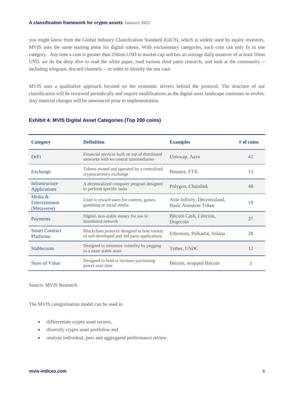#### **A classification framework for crypto assets January 2022**

you might know from the Global Industry Classification Standard (GICS), which is widely used by equity investors, MVIS uses the same starting point for digital tokens. With exclusionary categories, each coin can only fit in one category. Any time a coin is greater than 250mn USD in market cap and has an average daily turnover of at least 10mn USD, we do the deep dive to read the white paper, read various third party research, and look at the community -including telegram, discord channels -- in order to identify the use case.

MVIS uses a qualitative approach focused on the economic drivers behind the protocol. The structure of our classification will be reviewed periodically and require modifications as the digital asset landscape continues to evolve. Any material changes will be announced prior to implementation.

#### **Exhibit 4: MVIS Digital Asset Categories (Top 200 coins)**

| <b>Category</b>                           | <b>Definition</b>                                                                            | <b>Examples</b>                                              | $#$ of coins |
|-------------------------------------------|----------------------------------------------------------------------------------------------|--------------------------------------------------------------|--------------|
| <b>DeFi</b>                               | Financial services built on top of distributed<br>networks with no central intermediaries    | Uniswap, Aave                                                |              |
| Exchange                                  | Tokens owned and operated by a centralized<br>Binance, FTX<br>cryptocurrency exchange        |                                                              | 13           |
| Infrastructure<br>Applications            | A decentralized computer program designed<br>to perform specific tasks                       | Polygon, Chainlink                                           | 48           |
| Media &<br>Entertainment<br>(Metaverse)   | Used to reward users for content, games,<br>gambling or social media                         | Axie Infinity, Decentraland,<br><b>Basic Attention Token</b> | 19           |
| Payments                                  | Digital, non-stable money for use in<br>distributed network                                  | Bitcoin Cash, Litecoin,<br>Dogecoin                          | 37           |
| <b>Smart Contract</b><br><b>Platforms</b> | Blockchain protocol designed to host variety<br>of self-developed and 3rd party applications | Ethereum, Polkadot, Solana                                   | 28           |
| <b>Stablecoins</b>                        | Designed to minimize volatility by pegging<br>to a more stable asset                         | Tether, USDC                                                 | 12           |
| <b>Store of Value</b>                     | Designed to hold or increase purchasing<br>power over time                                   | Bitcoin, wrapped Bitcoin                                     | 3            |

Source: MVIS Research

The MVIS categorization model can be used to

- differentiate crypto asset sectors,
- diversify crypto asset portfolios and
- analyze individual, peer and aggregated performance review.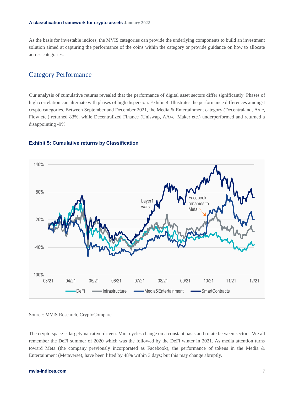As the basis for investable indices, the MVIS categories can provide the underlying components to build an investment solution aimed at capturing the performance of the coins within the category or provide guidance on how to allocate across categories.

### Category Performance

Our analysis of cumulative returns revealed that the performance of digital asset sectors differ significantly. Phases of high correlation can alternate with phases of high dispersion. Exhibit 4. Illustrates the performance differences amongst crypto categories. Between September and December 2021, the Media & Entertainment category (Decentraland, Axie, Flow etc.) returned 83%, while Decentralized Finance (Uniswap, AAve, Maker etc.) underperformed and returned a disappointing -9%.

#### **Exhibit 5: Cumulative returns by Classification**



#### Source: MVIS Research, CryptoCompare

The crypto space is largely narrative-driven. Mini cycles change on a constant basis and rotate between sectors. We all remember the DeFi summer of 2020 which was the followed by the DeFi winter in 2021. As media attention turns toward Meta (the company previously incorporated as Facebook), the performance of tokens in the Media & Entertainment (Metaverse), have been lifted by 48% within 3 days; but this may change abruptly.

#### **mvis-indices.com** 7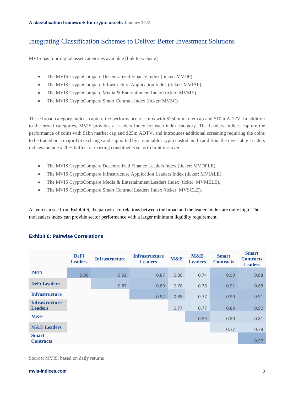## Integrating Classification Schemes to Deliver Better Investment Solutions

MVIS has four digital asset categories available [link to website]

- The MVIS CryptoCompare Decentralized Finance Index (ticker: MVDF),
- The MVIS CryptoCompare Infrastructure Application Index (ticker: MVIAP),
- The MVIS CryptoCompare Media & Entertainment Index (ticker: MVME),
- The MVIS CryptoCompare Smart Contract Index (ticker: MVSC)

These broad category indices capture the performance of coins with \$250m market cap and \$10m ADTV. In addition to the broad categories, MVIS provides a Leaders Index for each index category. The Leaders Indices capture the performance of coins with \$1bn market cap and \$25m ADTV, and introduces additional screening requiring the coins to be traded on a major US exchange and supported by a reputable crypto custodian. In addition, the investable Leaders indices include a 20% buffer for existing constituents so as to limit turnover.

- The MVIS CryptoCompare Decentralized Finance Leaders Index (ticker: MVDFLE),
- The MVIS CryptoCompare Infrastructure Application Leaders Index (ticker: MVIALE),
- The MVIS CryptoCompare Media & Entertainment Leaders Index (ticker: MVMELE),
- The MVIS CryptoCompare Smart Contract Leaders Index (ticker: MVSCLE).

As you can see from Exhibit 6, the pairwise correlations between the broad and the leaders index are quite high. Thus, the leaders index can provide sector performance with a larger minimum liquidity requirement.

|                                         | <b>DeFi</b><br><b>Leaders</b> | <b>Infrastructure</b> | <b>Infrastructure</b><br><b>Leaders</b> | M&E  | <b>M&amp;E</b><br><b>Leaders</b> | <b>Smart</b><br><b>Contracts</b> | <b>Smart</b><br><b>Contracts</b><br><b>Leaders</b> |
|-----------------------------------------|-------------------------------|-----------------------|-----------------------------------------|------|----------------------------------|----------------------------------|----------------------------------------------------|
| <b>DEFi</b>                             | 0.96                          | 0.92                  | 0.87                                    | 0.80 | 0.74                             | 0.90                             | 0.88                                               |
| <b>DeFi</b> Leaders                     |                               | 0.87                  | 0.89                                    | 0.76 | 0.76                             | 0.91                             | 0.88                                               |
| <b>Infrastructure</b>                   |                               |                       | 0.92                                    | 0.85 | 0.77                             | 0.90                             | 0.91                                               |
| <b>Infrastructure</b><br><b>Leaders</b> |                               |                       |                                         | 0.77 | 0.77                             | 0.89                             | 0.90                                               |
| <b>M&amp;E</b>                          |                               |                       |                                         |      | 0.89                             | 0.80                             | 0.81                                               |
| <b>M&amp;E</b> Leaders                  |                               |                       |                                         |      |                                  | 0.77                             | 0.78                                               |
| <b>Smart</b><br><b>Contracts</b>        |                               |                       |                                         |      |                                  |                                  | 0.97                                               |

#### **Exhibit 6: Pairwise Correlations**

Source: MVIS, based on daily returns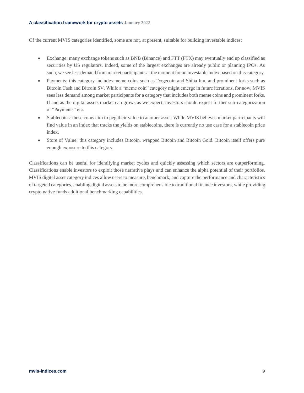#### **A classification framework for crypto assets January 2022**

Of the current MVIS categories identified, some are not, at present, suitable for building investable indices:

- Exchange: many exchange tokens such as BNB (Binance) and FTT (FTX) may eventually end up classified as securities by US regulators. Indeed, some of the largest exchanges are already public or planning IPOs. As such, we see less demand from market participants at the moment for an investable index based on this category.
- Payments: this category includes meme coins such as Dogecoin and Shiba Inu, and prominent forks such as Bitcoin Cash and Bitcoin SV. While a "meme coin" category might emerge in future iterations, for now, MVIS sees less demand among market participants for a category that includes both meme coins and prominent forks. If and as the digital assets market cap grows as we expect, investors should expect further sub-categorization of "Payments" etc.
- Stablecoins: these coins aim to peg their value to another asset. While MVIS believes market participants will find value in an index that tracks the yields on stablecoins, there is currently no use case for a stablecoin price index.
- Store of Value: this category includes Bitcoin, wrapped Bitcoin and Bitcoin Gold. Bitcoin itself offers pure enough exposure to this category.

Classifications can be useful for identifying market cycles and quickly assessing which sectors are outperforming. Classifications enable investors to exploit those narrative plays and can enhance the alpha potential of their portfolios. MVIS digital asset category indices allow users to measure, benchmark, and capture the performance and characteristics of targeted categories, enabling digital assets to be more comprehensible to traditional finance investors, while providing crypto native funds additional benchmarking capabilities.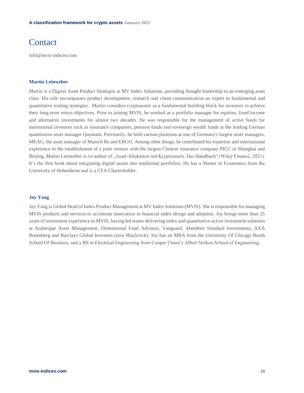## Contact

info@mvis-indices.com

#### **Martin Leinweber**

Martin is a Digital Asset Product Strategist at MV Index Solutions, providing thought leadership in an emerging asset class. His role encompasses product development, research and client communication an expert in fundamental and quantitative trading strategies. Martin considers cryptoassets as a fundamental building block for investors to achieve their long-term return objectives. Prior to joining MVIS, he worked as a portfolio manager for equities, fixed income and alternative investments for almost two decades. He was responsible for the management of active funds for institutional investors such as insurance companies, pension funds and sovereign wealth funds at the leading German quantitative asset manager Quoniam. Previously, he held various positions at one of Germany's largest asset managers, MEAG, the asset manager of Munich Re and ERGO. Among other things, he contributed his expertise and international experience to the establishment of a joint venture with the largest Chinese insurance company PICC in Shanghai and Beijing. Martin Leinweber is co-author of "Asset-Allokation mit Kryptoassets. Das Handbuch" (Wiley Finance, 2021). It's the first book about integrating digital assets into traditional portfolios. He has a Master in Economics from the University of Hohenheim and is a CFA Charterholder.

#### **Joy Yang**

Joy Yang is Global Head of Index Product Management at MV Index Solutions (MVIS). She is responsible for managing MVIS products and services to accelerate innovation in financial index design and adoption. Joy brings more than 25 years of investment experience to MVIS, having led teams delivering index and quantitative-active investment solutions at Arabesque Asset Management, Dimensional Fund Advisors, Vanguard, Aberdeen Standard Investments, AXA Rosenberg and Barclays Global Investors (now Blackrock). Joy has an MBA from the University Of Chicago Booth School Of Business, and a BS in Electrical Engineering from Cooper Union's Albert Nerken School of Engineering.